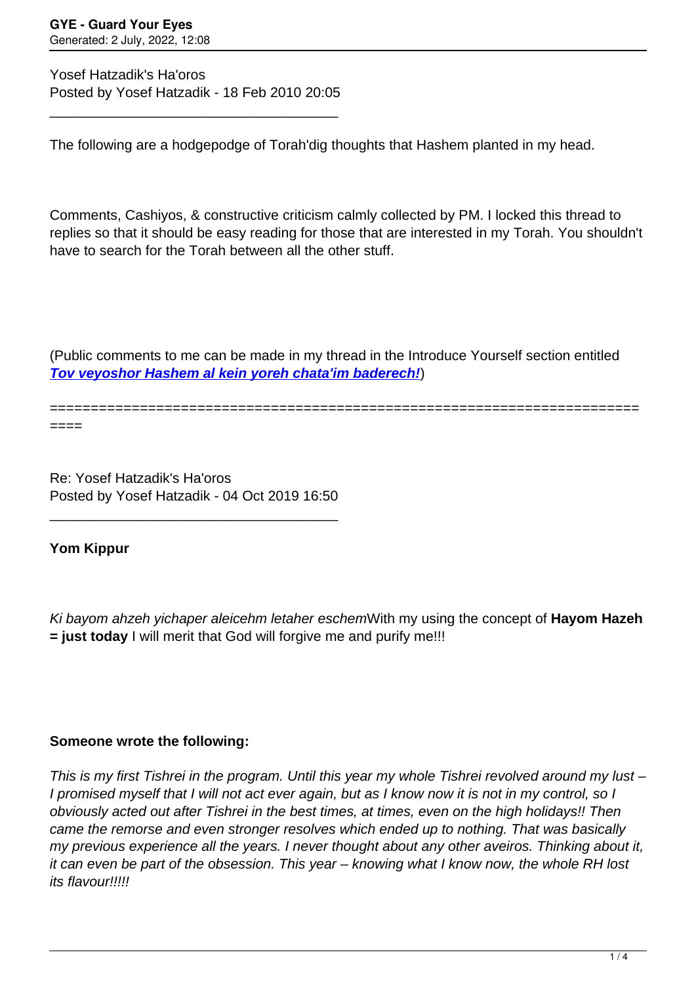Yosef Hatzadik's Ha'oros Posted by Yosef Hatzadik - 18 Feb 2010 20:05

\_\_\_\_\_\_\_\_\_\_\_\_\_\_\_\_\_\_\_\_\_\_\_\_\_\_\_\_\_\_\_\_\_\_\_\_\_

The following are a hodgepodge of Torah'dig thoughts that Hashem planted in my head.

Comments, Cashiyos, & constructive criticism calmly collected by PM. I locked this thread to replies so that it should be easy reading for those that are interested in my Torah. You shouldn't have to search for the Torah between all the other stuff.

(Public comments to me can be made in my thread in the Introduce Yourself section entitled **[Tov veyoshor Hashem al kein yoreh chata'im baderech!](http://www.guardyoureyes.com/forum/19-Introduce-Yourself/54107-Tov-veyoshor-Hashem-al-kein-yoreh-chataim-baderech%21)**)

========================================================================

====

Re: Yosef Hatzadik's Ha'oros Posted by Yosef Hatzadik - 04 Oct 2019 16:50

\_\_\_\_\_\_\_\_\_\_\_\_\_\_\_\_\_\_\_\_\_\_\_\_\_\_\_\_\_\_\_\_\_\_\_\_\_

**Yom Kippur**

Ki bayom ahzeh yichaper aleicehm letaher eschemWith my using the concept of **Hayom Hazeh = just today** I will merit that God will forgive me and purify me!!!

## **Someone wrote the following:**

This is my first Tishrei in the program. Until this year my whole Tishrei revolved around my lust -I promised myself that I will not act ever again, but as I know now it is not in my control, so I obviously acted out after Tishrei in the best times, at times, even on the high holidays!! Then came the remorse and even stronger resolves which ended up to nothing. That was basically my previous experience all the years. I never thought about any other aveiros. Thinking about it, it can even be part of the obsession. This year – knowing what I know now, the whole RH lost its flavour!!!!!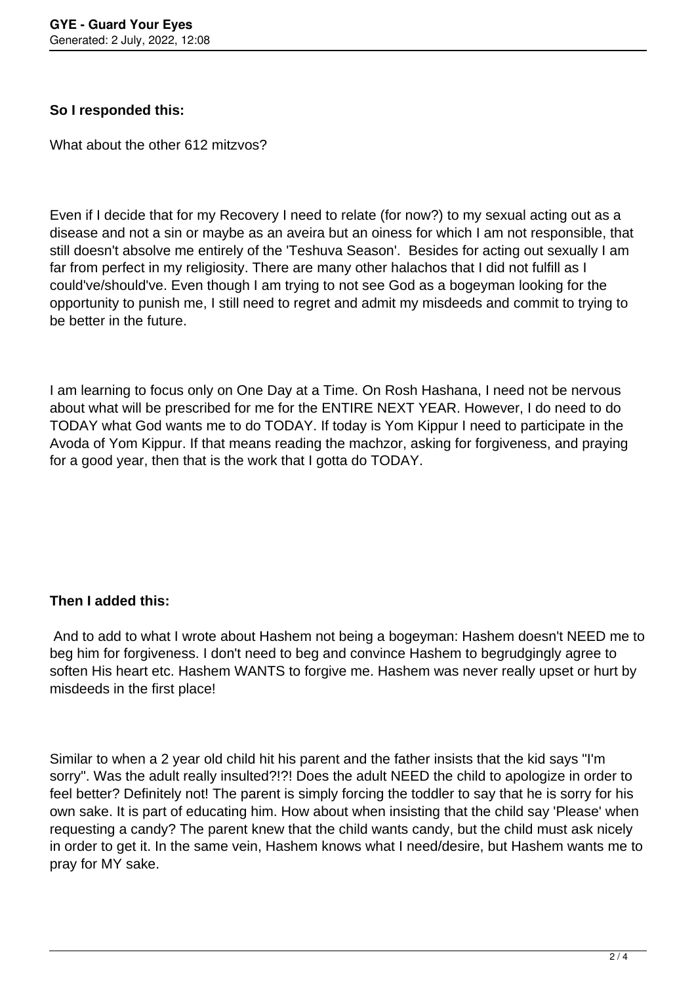## **So I responded this:**

What about the other 612 mitzvos?

Even if I decide that for my Recovery I need to relate (for now?) to my sexual acting out as a disease and not a sin or maybe as an aveira but an oiness for which I am not responsible, that still doesn't absolve me entirely of the 'Teshuva Season'. Besides for acting out sexually I am far from perfect in my religiosity. There are many other halachos that I did not fulfill as I could've/should've. Even though I am trying to not see God as a bogeyman looking for the opportunity to punish me, I still need to regret and admit my misdeeds and commit to trying to be better in the future.

I am learning to focus only on One Day at a Time. On Rosh Hashana, I need not be nervous about what will be prescribed for me for the ENTIRE NEXT YEAR. However, I do need to do TODAY what God wants me to do TODAY. If today is Yom Kippur I need to participate in the Avoda of Yom Kippur. If that means reading the machzor, asking for forgiveness, and praying for a good year, then that is the work that I gotta do TODAY.

## **Then I added this:**

 And to add to what I wrote about Hashem not being a bogeyman: Hashem doesn't NEED me to beg him for forgiveness. I don't need to beg and convince Hashem to begrudgingly agree to soften His heart etc. Hashem WANTS to forgive me. Hashem was never really upset or hurt by misdeeds in the first place!

Similar to when a 2 year old child hit his parent and the father insists that the kid says "I'm sorry". Was the adult really insulted?!?! Does the adult NEED the child to apologize in order to feel better? Definitely not! The parent is simply forcing the toddler to say that he is sorry for his own sake. It is part of educating him. How about when insisting that the child say 'Please' when requesting a candy? The parent knew that the child wants candy, but the child must ask nicely in order to get it. In the same vein, Hashem knows what I need/desire, but Hashem wants me to pray for MY sake.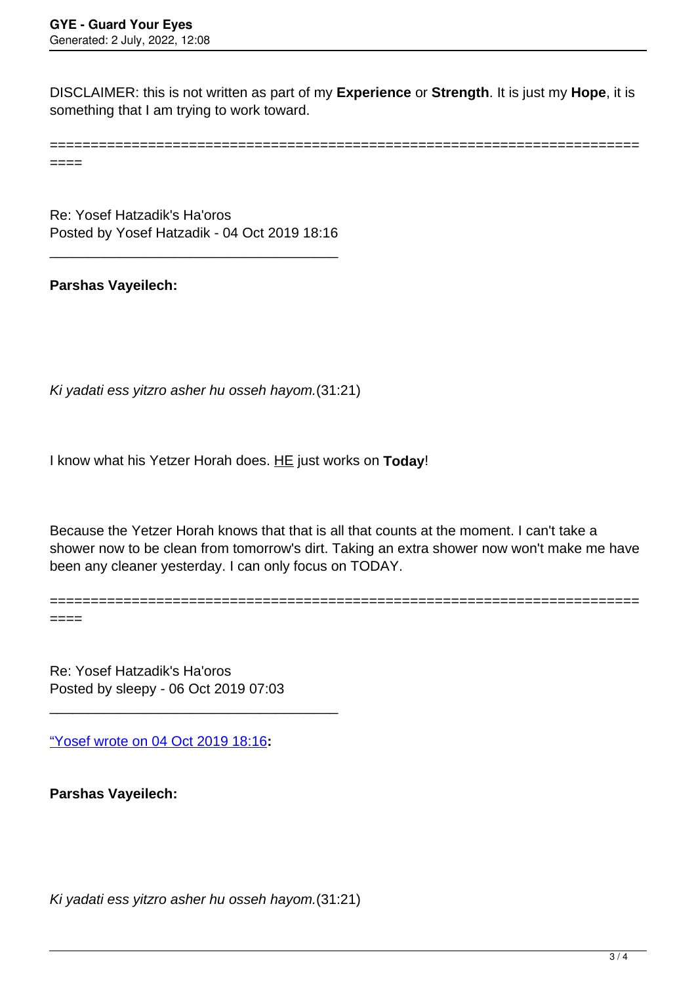DISCLAIMER: this is not written as part of my **Experience** or **Strength**. It is just my **Hope**, it is something that I am trying to work toward.

========================================================================

 $----$ 

Re: Yosef Hatzadik's Ha'oros Posted by Yosef Hatzadik - 04 Oct 2019 18:16

\_\_\_\_\_\_\_\_\_\_\_\_\_\_\_\_\_\_\_\_\_\_\_\_\_\_\_\_\_\_\_\_\_\_\_\_\_

**Parshas Vayeilech:**

Ki yadati ess yitzro asher hu osseh hayom.(31:21)

I know what his Yetzer Horah does. HE just works on **Today**!

Because the Yetzer Horah knows that that is all that counts at the moment. I can't take a shower now to be clean from tomorrow's dirt. Taking an extra shower now won't make me have been any cleaner yesterday. I can only focus on TODAY.

========================================================================  $====$ 

Re: Yosef Hatzadik's Ha'oros Posted by sleepy - 06 Oct 2019 07:03

\_\_\_\_\_\_\_\_\_\_\_\_\_\_\_\_\_\_\_\_\_\_\_\_\_\_\_\_\_\_\_\_\_\_\_\_\_

["Yosef wrote on 04 Oct 2019 18:16](/forum/13-BEIS-HAMEDRASH/344007-Re-Yosef-Hatzadiks-Haoros)**:**

**Parshas Vayeilech:**

Ki yadati ess yitzro asher hu osseh hayom.(31:21)